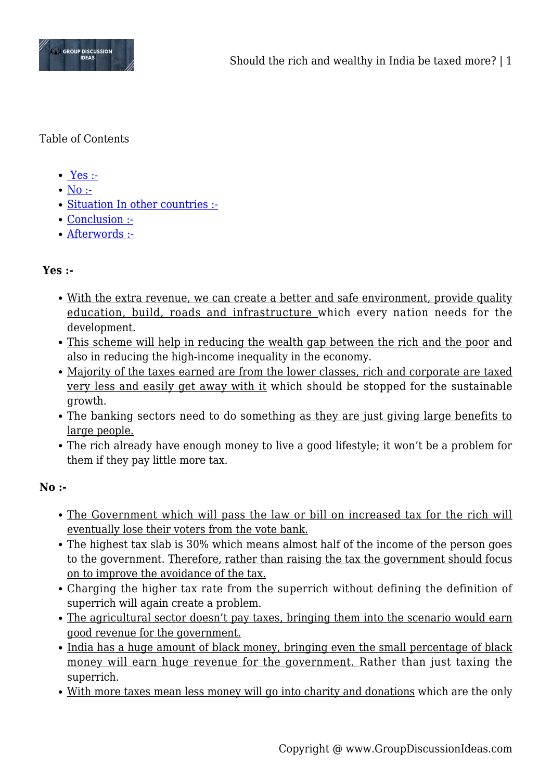

# Table of Contents

- $\bullet$  [Yes :-](#page--1-0)
- $\bullet$  [No :-](#page--1-0)
- [Situation In other countries :-](#page--1-0)
- [Conclusion :-](#page--1-0)
- [Afterwords :-](#page--1-0)

# **Yes :-**

- With the extra revenue, we can create a better and safe environment, provide quality education, build, roads and infrastructure which every nation needs for the development.
- This scheme will help in reducing the wealth gap between the rich and the poor and also in reducing the high-income inequality in the economy.
- Majority of the taxes earned are from the lower classes, rich and corporate are taxed very less and easily get away with it which should be stopped for the sustainable growth.
- The banking sectors need to do something as they are just giving large benefits to large people.
- The rich already have enough money to live a good lifestyle; it won't be a problem for them if they pay little more tax.

### **No :-**

- The Government which will pass the law or bill on increased tax for the rich will eventually lose their voters from the vote bank.
- The highest tax slab is 30% which means almost half of the income of the person goes to the government. Therefore, rather than raising the tax the government should focus on to improve the avoidance of the tax.
- Charging the higher tax rate from the superrich without defining the definition of superrich will again create a problem.
- The agricultural sector doesn't pay taxes, bringing them into the scenario would earn good revenue for the government.
- India has a huge amount of black money, bringing even the small percentage of black money will earn huge revenue for the government. Rather than just taxing the superrich.
- With more taxes mean less money will go into charity and donations which are the only